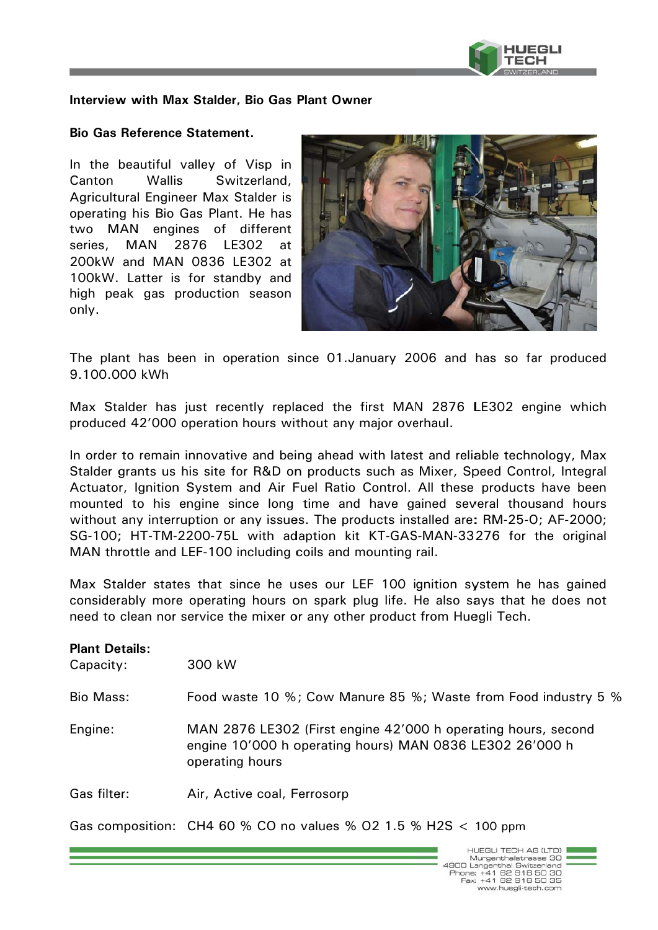

## Interview with Max Stalder, Bio Gas Plant Owner

## **Bio Gas Reference Statement.**

In the beautiful valley of Visp in Canton **Wallis** Switzerland, Agricultural Engineer Max Stalder is operating his Bio Gas Plant. He has two MAN engines of different 2876 LE302 series, MAN at 200kW and MAN 0836 LE302 at 100kW. Latter is for standby and high peak gas production season only.



The plant has been in operation since 01. January 2006 and has so far produced 9.100.000 kWh

Max Stalder has just recently replaced the first MAN 2876 LE302 engine which produced 42'000 operation hours without any major overhaul.

In order to remain innovative and being ahead with latest and reliable technology, Max Stalder grants us his site for R&D on products such as Mixer, Speed Control, Integral Actuator, Ignition System and Air Fuel Ratio Control. All these products have been mounted to his engine since long time and have gained several thousand hours without any interruption or any issues. The products installed are: RM-25-0; AF-2000; SG-100; HT-TM-2200-75L with adaption kit KT-GAS-MAN-33276 for the original MAN throttle and LEF-100 including coils and mounting rail.

Max Stalder states that since he uses our LEF 100 ignition system he has gained considerably more operating hours on spark plug life. He also says that he does not need to clean nor service the mixer or any other product from Huegli Tech.

| <b>Plant Details:</b><br>Capacity: | 300 kW                                                                                                                                       |
|------------------------------------|----------------------------------------------------------------------------------------------------------------------------------------------|
| Bio Mass:                          | Food waste 10 %; Cow Manure 85 %; Waste from Food industry 5 %                                                                               |
| Engine:                            | MAN 2876 LE302 (First engine 42'000 h operating hours, second<br>engine 10'000 h operating hours) MAN 0836 LE302 26'000 h<br>operating hours |
| Gas filter:                        | Air, Active coal, Ferrosorp                                                                                                                  |
|                                    | Gas composition: CH4 60 % CO no values % O2 1.5 % H2S $<$ 100 ppm                                                                            |

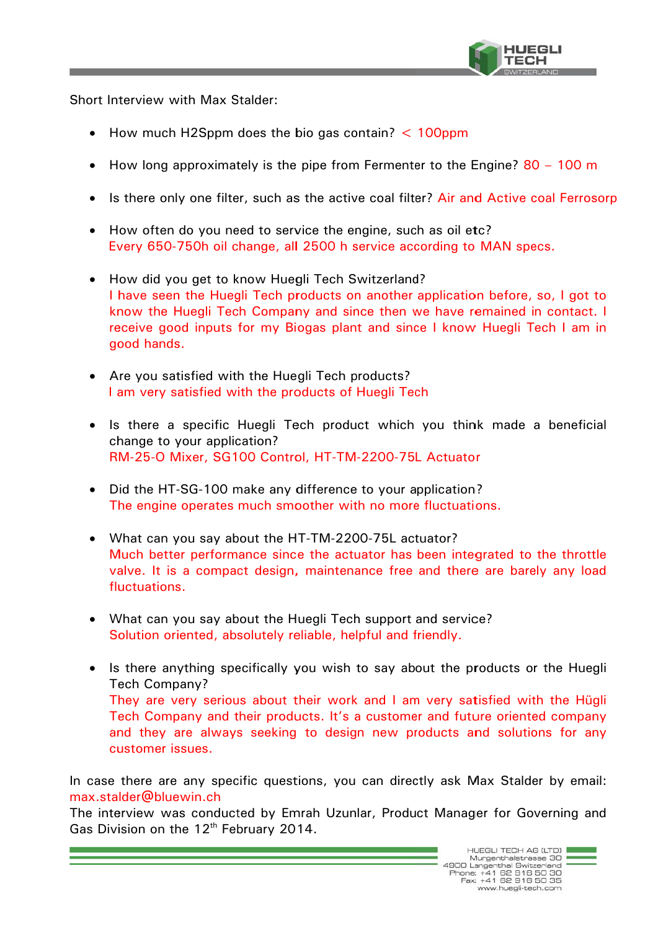

Short Interview with Max Stalder:

customer issues.

- How much H2Sppm does the bio gas contain?  $\lt$  100ppm
- How long approximately is the pipe from Fermenter to the Engine?  $80 100$  m
- Is there only one filter, such as the active coal filter? Air and Active coal Ferrosorp
- How often do you need to service the engine, such as oil etc? Every 650-750h oil change, all 2500 h service according to MAN specs.
- How did you get to know Huegli Tech Switzerland? I have seen the Huegli Tech products on another application before, so, I got to know the Huegli Tech Company and since then we have remained in contact. I receive good inputs for my Biogas plant and since I know Huegli Tech I am in good hands.
- Are you satisfied with the Huegli Tech products? I am very satisfied with the products of Huegli Tech
- Is there a specific Huegli Tech product which you think made a beneficial change to your application? RM-25-O Mixer, SG100 Control, HT-TM-2200-75L Actuator
- Did the HT-SG-100 make any difference to your application? The engine operates much smoother with no more fluctuations.
- What can you say about the HT-TM-2200-75L actuator? Much better performance since the actuator has been integrated to the throttle valve. It is a compact design, maintenance free and there are barely any load fluctuations.
- What can you say about the Huegli Tech support and service? Solution oriented, absolutely reliable, helpful and friendly.
- Is there anything specifically you wish to say about the products or the Huegli Tech Company? They are very serious about their work and I am very satisfied with the Hügli Tech Company and their products. It's a customer and future oriented company and they are always seeking to design new products and solutions for any

In case there are any specific questions, you can directly ask Max Stalder by email: max.stalder@bluewin.ch

The interview was conducted by Emrah Uzunlar, Product Manager for Governing and Gas Division on the 12<sup>th</sup> February 2014.